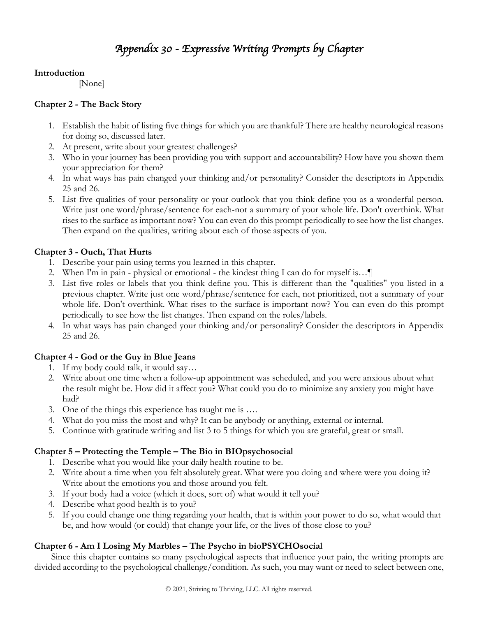# *Appendix 30 - Expressive Writing Prompts by Chapter*

## **Introduction**

[None]

## **Chapter 2 - The Back Story**

- 1. Establish the habit of listing five things for which you are thankful? There are healthy neurological reasons for doing so, discussed later.
- 2. At present, write about your greatest challenges?
- 3. Who in your journey has been providing you with support and accountability? How have you shown them your appreciation for them?
- 4. In what ways has pain changed your thinking and/or personality? Consider the descriptors in Appendix 25 and 26.
- 5. List five qualities of your personality or your outlook that you think define you as a wonderful person. Write just one word/phrase/sentence for each-not a summary of your whole life. Don't overthink. What rises to the surface as important now? You can even do this prompt periodically to see how the list changes. Then expand on the qualities, writing about each of those aspects of you.

## **Chapter 3 - Ouch, That Hurts**

- 1. Describe your pain using terms you learned in this chapter.
- 2. When I'm in pain physical or emotional the kindest thing I can do for myself is…¶
- 3. List five roles or labels that you think define you. This is different than the "qualities" you listed in a previous chapter. Write just one word/phrase/sentence for each, not prioritized, not a summary of your whole life. Don't overthink. What rises to the surface is important now? You can even do this prompt periodically to see how the list changes. Then expand on the roles/labels.
- 4. In what ways has pain changed your thinking and/or personality? Consider the descriptors in Appendix 25 and 26.

## **Chapter 4 - God or the Guy in Blue Jeans**

- 1. If my body could talk, it would say…
- 2. Write about one time when a follow-up appointment was scheduled, and you were anxious about what the result might be. How did it affect you? What could you do to minimize any anxiety you might have had?
- 3. One of the things this experience has taught me is ….
- 4. What do you miss the most and why? It can be anybody or anything, external or internal.
- 5. Continue with gratitude writing and list 3 to 5 things for which you are grateful, great or small.

# **Chapter 5 – Protecting the Temple – The Bio in BIOpsychosocial**

- 1. Describe what you would like your daily health routine to be.
- 2. Write about a time when you felt absolutely great. What were you doing and where were you doing it? Write about the emotions you and those around you felt.
- 3. If your body had a voice (which it does, sort of) what would it tell you?
- 4. Describe what good health is to you?
- 5. If you could change one thing regarding your health, that is within your power to do so, what would that be, and how would (or could) that change your life, or the lives of those close to you?

# **Chapter 6 - Am I Losing My Marbles – The Psycho in bioPSYCHOsocial**

Since this chapter contains so many psychological aspects that influence your pain, the writing prompts are divided according to the psychological challenge/condition. As such, you may want or need to select between one,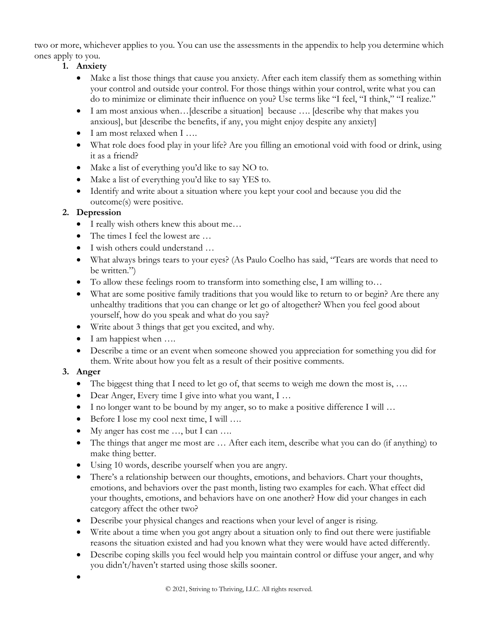two or more, whichever applies to you. You can use the assessments in the appendix to help you determine which ones apply to you.

- **1. Anxiety**
	- Make a list those things that cause you anxiety. After each item classify them as something within your control and outside your control. For those things within your control, write what you can do to minimize or eliminate their influence on you? Use terms like "I feel, "I think," "I realize."
	- I am most anxious when... [describe a situation] because .... [describe why that makes you anxious], but [describe the benefits, if any, you might enjoy despite any anxiety]
	- I am most relaxed when I ...
	- What role does food play in your life? Are you filling an emotional void with food or drink, using it as a friend?
	- Make a list of everything you'd like to say NO to.
	- Make a list of everything you'd like to say YES to.
	- Identify and write about a situation where you kept your cool and because you did the outcome(s) were positive.

## **2. Depression**

- I really wish others knew this about me...
- The times I feel the lowest are ...
- I wish others could understand …
- What always brings tears to your eyes? (As Paulo Coelho has said, "Tears are words that need to be written.")
- To allow these feelings room to transform into something else, I am willing to...
- What are some positive family traditions that you would like to return to or begin? Are there any unhealthy traditions that you can change or let go of altogether? When you feel good about yourself, how do you speak and what do you say?
- Write about 3 things that get you excited, and why.
- I am happiest when ....
- Describe a time or an event when someone showed you appreciation for something you did for them. Write about how you felt as a result of their positive comments.

## **3. Anger**

- The biggest thing that I need to let go of, that seems to weigh me down the most is, ...
- Dear Anger, Every time I give into what you want, I ...
- I no longer want to be bound by my anger, so to make a positive difference I will ...
- Before I lose my cool next time, I will ....
- My anger has cost me ..., but I can ....
- The things that anger me most are ... After each item, describe what you can do (if anything) to make thing better.
- Using 10 words, describe yourself when you are angry.
- There's a relationship between our thoughts, emotions, and behaviors. Chart your thoughts, emotions, and behaviors over the past month, listing two examples for each. What effect did your thoughts, emotions, and behaviors have on one another? How did your changes in each category affect the other two?
- Describe your physical changes and reactions when your level of anger is rising.
- Write about a time when you got angry about a situation only to find out there were justifiable reasons the situation existed and had you known what they were would have acted differently.
- Describe coping skills you feel would help you maintain control or diffuse your anger, and why you didn't/haven't started using those skills sooner.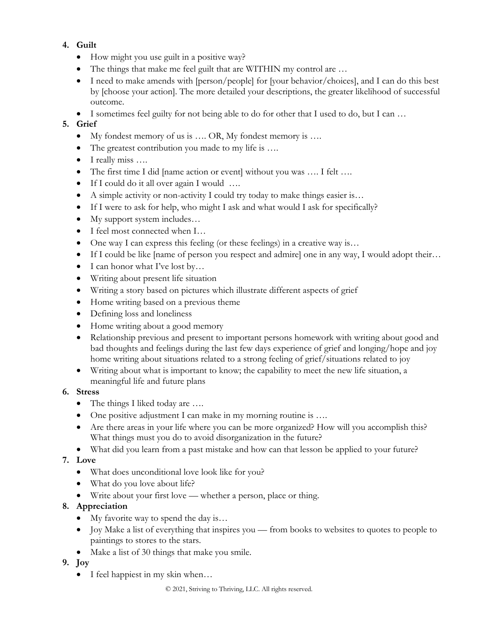# **4. Guilt**

- How might you use guilt in a positive way?
- The things that make me feel guilt that are WITHIN my control are ...
- I need to make amends with [person/people] for [your behavior/choices], and I can do this best by [choose your action]. The more detailed your descriptions, the greater likelihood of successful outcome.
- I sometimes feel guilty for not being able to do for other that I used to do, but I can ...

## **5. Grief**

- My fondest memory of us is …. OR, My fondest memory is ….
- The greatest contribution you made to my life is ....
- I really miss ....
- The first time I did [name action or event] without you was …. I felt ….
- If I could do it all over again I would ….
- A simple activity or non-activity I could try today to make things easier is...
- If I were to ask for help, who might I ask and what would I ask for specifically?
- My support system includes...
- I feel most connected when I...
- One way I can express this feeling (or these feelings) in a creative way is...
- If I could be like [name of person you respect and admire] one in any way, I would adopt their…
- I can honor what I've lost by...
- Writing about present life situation
- Writing a story based on pictures which illustrate different aspects of grief
- Home writing based on a previous theme
- Defining loss and loneliness
- Home writing about a good memory
- Relationship previous and present to important persons homework with writing about good and bad thoughts and feelings during the last few days experience of grief and longing/hope and joy home writing about situations related to a strong feeling of grief/situations related to joy
- Writing about what is important to know; the capability to meet the new life situation, a meaningful life and future plans

## **6. Stress**

- The things I liked today are ....
- One positive adjustment I can make in my morning routine is ....
- Are there areas in your life where you can be more organized? How will you accomplish this? What things must you do to avoid disorganization in the future?
- What did you learn from a past mistake and how can that lesson be applied to your future?

# **7. Love**

- What does unconditional love look like for you?
- What do you love about life?
- Write about your first love whether a person, place or thing.

# **8. Appreciation**

- My favorite way to spend the day is...
- Joy Make a list of everything that inspires you from books to websites to quotes to people to paintings to stores to the stars.
- Make a list of 30 things that make you smile.

# **9. Joy**

• I feel happiest in my skin when...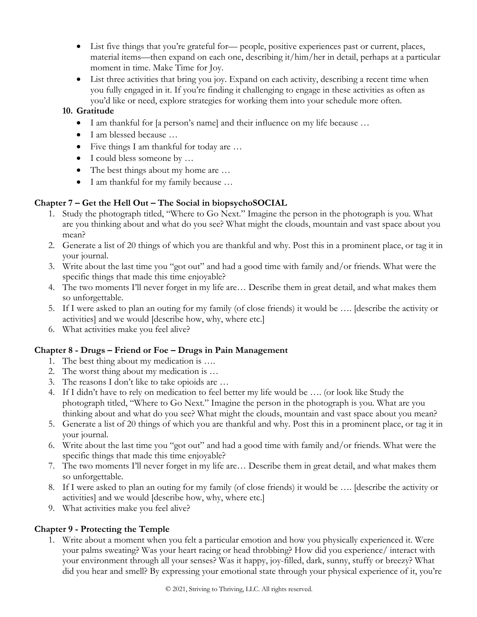- List five things that you're grateful for— people, positive experiences past or current, places, material items—then expand on each one, describing it/him/her in detail, perhaps at a particular moment in time. Make Time for Joy.
- List three activities that bring you joy. Expand on each activity, describing a recent time when you fully engaged in it. If you're finding it challenging to engage in these activities as often as you'd like or need, explore strategies for working them into your schedule more often.

## **10. Gratitude**

- I am thankful for [a person's name] and their influence on my life because ...
- I am blessed because ...
- Five things I am thankful for today are ...
- I could bless someone by ...
- The best things about my home are ...
- I am thankful for my family because …

## **Chapter 7 – Get the Hell Out – The Social in biopsychoSOCIAL**

- 1. Study the photograph titled, "Where to Go Next." Imagine the person in the photograph is you. What are you thinking about and what do you see? What might the clouds, mountain and vast space about you mean?
- 2. Generate a list of 20 things of which you are thankful and why. Post this in a prominent place, or tag it in your journal.
- 3. Write about the last time you "got out" and had a good time with family and/or friends. What were the specific things that made this time enjoyable?
- 4. The two moments I'll never forget in my life are… Describe them in great detail, and what makes them so unforgettable.
- 5. If I were asked to plan an outing for my family (of close friends) it would be …. [describe the activity or activities] and we would [describe how, why, where etc.]
- 6. What activities make you feel alive?

## **Chapter 8 - Drugs – Friend or Foe – Drugs in Pain Management**

- 1. The best thing about my medication is ….
- 2. The worst thing about my medication is …
- 3. The reasons I don't like to take opioids are …
- 4. If I didn't have to rely on medication to feel better my life would be …. (or look like Study the photograph titled, "Where to Go Next." Imagine the person in the photograph is you. What are you thinking about and what do you see? What might the clouds, mountain and vast space about you mean?
- 5. Generate a list of 20 things of which you are thankful and why. Post this in a prominent place, or tag it in your journal.
- 6. Write about the last time you "got out" and had a good time with family and/or friends. What were the specific things that made this time enjoyable?
- 7. The two moments I'll never forget in my life are… Describe them in great detail, and what makes them so unforgettable.
- 8. If I were asked to plan an outing for my family (of close friends) it would be …. [describe the activity or activities] and we would [describe how, why, where etc.]
- 9. What activities make you feel alive?

# **Chapter 9 - Protecting the Temple**

1. Write about a moment when you felt a particular emotion and how you physically experienced it. Were your palms sweating? Was your heart racing or head throbbing? How did you experience/ interact with your environment through all your senses? Was it happy, joy-filled, dark, sunny, stuffy or breezy? What did you hear and smell? By expressing your emotional state through your physical experience of it, you're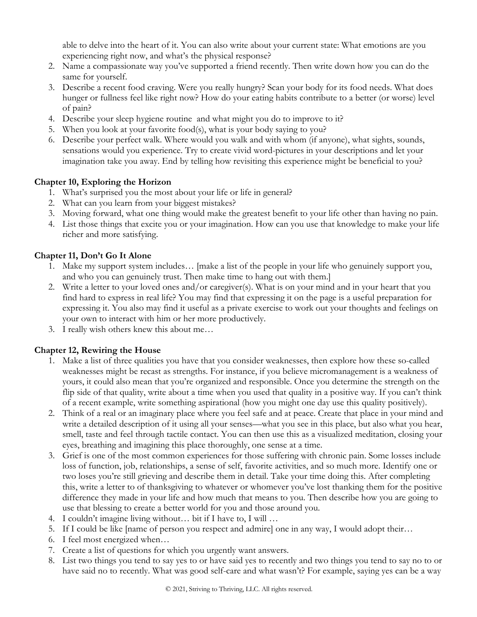able to delve into the heart of it. You can also write about your current state: What emotions are you experiencing right now, and what's the physical response?

- 2. Name a compassionate way you've supported a friend recently. Then write down how you can do the same for yourself.
- 3. Describe a recent food craving. Were you really hungry? Scan your body for its food needs. What does hunger or fullness feel like right now? How do your eating habits contribute to a better (or worse) level of pain?
- 4. Describe your sleep hygiene routine and what might you do to improve to it?
- 5. When you look at your favorite food(s), what is your body saying to you?
- 6. Describe your perfect walk. Where would you walk and with whom (if anyone), what sights, sounds, sensations would you experience. Try to create vivid word-pictures in your descriptions and let your imagination take you away. End by telling how revisiting this experience might be beneficial to you?

#### **Chapter 10, Exploring the Horizon**

- 1. What's surprised you the most about your life or life in general?
- 2. What can you learn from your biggest mistakes?
- 3. Moving forward, what one thing would make the greatest benefit to your life other than having no pain.
- 4. List those things that excite you or your imagination. How can you use that knowledge to make your life richer and more satisfying.

#### **Chapter 11, Don't Go It Alone**

- 1. Make my support system includes… [make a list of the people in your life who genuinely support you, and who you can genuinely trust. Then make time to hang out with them.]
- 2. Write a letter to your loved ones and/or caregiver(s). What is on your mind and in your heart that you find hard to express in real life? You may find that expressing it on the page is a useful preparation for expressing it. You also may find it useful as a private exercise to work out your thoughts and feelings on your own to interact with him or her more productively.
- 3. I really wish others knew this about me…

## **Chapter 12, Rewiring the House**

- 1. Make a list of three qualities you have that you consider weaknesses, then explore how these so-called weaknesses might be recast as strengths. For instance, if you believe micromanagement is a weakness of yours, it could also mean that you're organized and responsible. Once you determine the strength on the flip side of that quality, write about a time when you used that quality in a positive way. If you can't think of a recent example, write something aspirational (how you might one day use this quality positively).
- 2. Think of a real or an imaginary place where you feel safe and at peace. Create that place in your mind and write a detailed description of it using all your senses—what you see in this place, but also what you hear, smell, taste and feel through tactile contact. You can then use this as a visualized meditation, closing your eyes, breathing and imagining this place thoroughly, one sense at a time.
- 3. Grief is one of the most common experiences for those suffering with chronic pain. Some losses include loss of function, job, relationships, a sense of self, favorite activities, and so much more. Identify one or two loses you're still grieving and describe them in detail. Take your time doing this. After completing this, write a letter to of thanksgiving to whatever or whomever you've lost thanking them for the positive difference they made in your life and how much that means to you. Then describe how you are going to use that blessing to create a better world for you and those around you.
- 4. I couldn't imagine living without… bit if I have to, I will …
- 5. If I could be like [name of person you respect and admire] one in any way, I would adopt their…
- 6. I feel most energized when…
- 7. Create a list of questions for which you urgently want answers.
- 8. List two things you tend to say yes to or have said yes to recently and two things you tend to say no to or have said no to recently. What was good self-care and what wasn't? For example, saying yes can be a way